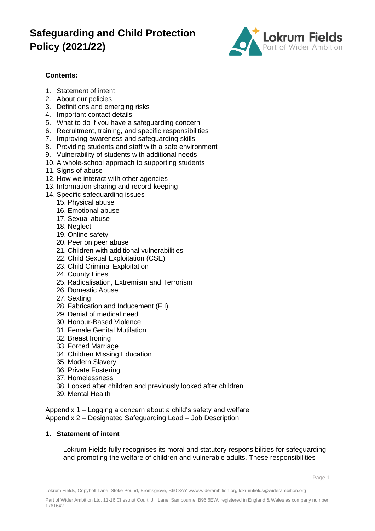

### **Contents:**

- 1. Statement of intent
- 2. About our policies
- 3. Definitions and emerging risks
- 4. Important contact details
- 5. What to do if you have a safeguarding concern
- 6. Recruitment, training, and specific responsibilities
- 7. Improving awareness and safeguarding skills
- 8. Providing students and staff with a safe environment
- 9. Vulnerability of students with additional needs
- 10. A whole-school approach to supporting students
- 11. Signs of abuse
- 12. How we interact with other agencies
- 13. Information sharing and record-keeping
- 14. Specific safeguarding issues
	- 15. Physical abuse
	- 16. Emotional abuse
	- 17. Sexual abuse
	- 18. Neglect
	- 19. Online safety
	- 20. Peer on peer abuse
	- 21. Children with additional vulnerabilities
	- 22. Child Sexual Exploitation (CSE)
	- 23. Child Criminal Exploitation
	- 24. County Lines
	- 25. Radicalisation, Extremism and Terrorism
	- 26. Domestic Abuse
	- 27. Sexting
	- 28. Fabrication and Inducement (FII)
	- 29. Denial of medical need
	- 30. Honour-Based Violence
	- 31. Female Genital Mutilation
	- 32. Breast Ironing
	- 33. Forced Marriage
	- 34. Children Missing Education
	- 35. Modern Slavery
	- 36. Private Fostering
	- 37. Homelessness
	- 38. Looked after children and previously looked after children
	- 39. Mental Health

Appendix 1 – Logging a concern about a child's safety and welfare Appendix 2 – Designated Safeguarding Lead – Job Description

### **1. Statement of intent**

Lokrum Fields fully recognises its moral and statutory responsibilities for safeguarding and promoting the welfare of children and vulnerable adults. These responsibilities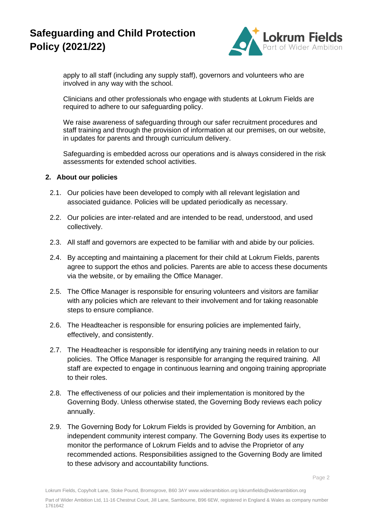

apply to all staff (including any supply staff), governors and volunteers who are involved in any way with the school.

Clinicians and other professionals who engage with students at Lokrum Fields are required to adhere to our safeguarding policy.

We raise awareness of safeguarding through our safer recruitment procedures and staff training and through the provision of information at our premises, on our website, in updates for parents and through curriculum delivery.

Safeguarding is embedded across our operations and is always considered in the risk assessments for extended school activities.

#### **2. About our policies**

- 2.1. Our policies have been developed to comply with all relevant legislation and associated guidance. Policies will be updated periodically as necessary.
- 2.2. Our policies are inter-related and are intended to be read, understood, and used collectively.
- 2.3. All staff and governors are expected to be familiar with and abide by our policies.
- 2.4. By accepting and maintaining a placement for their child at Lokrum Fields, parents agree to support the ethos and policies. Parents are able to access these documents via the website, or by emailing the Office Manager.
- 2.5. The Office Manager is responsible for ensuring volunteers and visitors are familiar with any policies which are relevant to their involvement and for taking reasonable steps to ensure compliance.
- 2.6. The Headteacher is responsible for ensuring policies are implemented fairly, effectively, and consistently.
- 2.7. The Headteacher is responsible for identifying any training needs in relation to our policies. The Office Manager is responsible for arranging the required training. All staff are expected to engage in continuous learning and ongoing training appropriate to their roles.
- 2.8. The effectiveness of our policies and their implementation is monitored by the Governing Body. Unless otherwise stated, the Governing Body reviews each policy annually.
- 2.9. The Governing Body for Lokrum Fields is provided by Governing for Ambition, an independent community interest company. The Governing Body uses its expertise to monitor the performance of Lokrum Fields and to advise the Proprietor of any recommended actions. Responsibilities assigned to the Governing Body are limited to these advisory and accountability functions.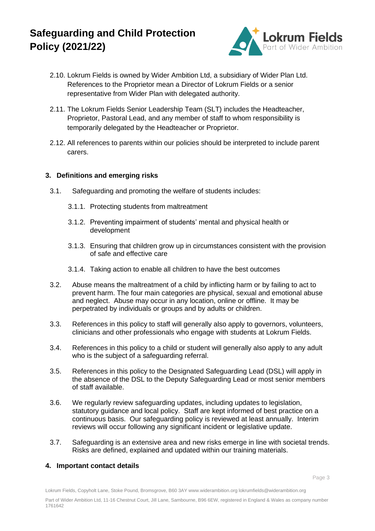

- 2.10. Lokrum Fields is owned by Wider Ambition Ltd, a subsidiary of Wider Plan Ltd. References to the Proprietor mean a Director of Lokrum Fields or a senior representative from Wider Plan with delegated authority.
- 2.11. The Lokrum Fields Senior Leadership Team (SLT) includes the Headteacher, Proprietor, Pastoral Lead, and any member of staff to whom responsibility is temporarily delegated by the Headteacher or Proprietor.
- 2.12. All references to parents within our policies should be interpreted to include parent carers.

### **3. Definitions and emerging risks**

- 3.1. Safeguarding and promoting the welfare of students includes:
	- 3.1.1. Protecting students from maltreatment
	- 3.1.2. Preventing impairment of students' mental and physical health or development
	- 3.1.3. Ensuring that children grow up in circumstances consistent with the provision of safe and effective care
	- 3.1.4. Taking action to enable all children to have the best outcomes
- 3.2. Abuse means the maltreatment of a child by inflicting harm or by failing to act to prevent harm. The four main categories are physical, sexual and emotional abuse and neglect. Abuse may occur in any location, online or offline. It may be perpetrated by individuals or groups and by adults or children.
- 3.3. References in this policy to staff will generally also apply to governors, volunteers, clinicians and other professionals who engage with students at Lokrum Fields.
- 3.4. References in this policy to a child or student will generally also apply to any adult who is the subject of a safeguarding referral.
- 3.5. References in this policy to the Designated Safeguarding Lead (DSL) will apply in the absence of the DSL to the Deputy Safeguarding Lead or most senior members of staff available.
- 3.6. We regularly review safeguarding updates, including updates to legislation, statutory guidance and local policy. Staff are kept informed of best practice on a continuous basis. Our safeguarding policy is reviewed at least annually. Interim reviews will occur following any significant incident or legislative update.
- 3.7. Safeguarding is an extensive area and new risks emerge in line with societal trends. Risks are defined, explained and updated within our training materials.

### **4. Important contact details**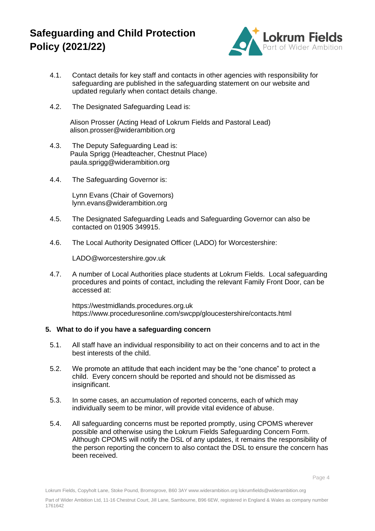

- 4.1. Contact details for key staff and contacts in other agencies with responsibility for safeguarding are published in the safeguarding statement on our website and updated regularly when contact details change.
- 4.2. The Designated Safeguarding Lead is:

Alison Prosser (Acting Head of Lokrum Fields and Pastoral Lead) alison.prosser@widerambition.org

- 4.3. The Deputy Safeguarding Lead is: Paula Sprigg (Headteacher, Chestnut Place) paula.sprigg@widerambition.org
- 4.4. The Safeguarding Governor is:

Lynn Evans (Chair of Governors) lynn.evans@widerambition.org

- 4.5. The Designated Safeguarding Leads and Safeguarding Governor can also be contacted on 01905 349915.
- 4.6. The Local Authority Designated Officer (LADO) for Worcestershire:

LADO@worcestershire.gov.uk

4.7. A number of Local Authorities place students at Lokrum Fields. Local safeguarding procedures and points of contact, including the relevant Family Front Door, can be accessed at:

https://westmidlands.procedures.org.uk https://www.proceduresonline.com/swcpp/gloucestershire/contacts.html

### **5. What to do if you have a safeguarding concern**

- 5.1. All staff have an individual responsibility to act on their concerns and to act in the best interests of the child.
- 5.2. We promote an attitude that each incident may be the "one chance" to protect a child. Every concern should be reported and should not be dismissed as insignificant.
- 5.3. In some cases, an accumulation of reported concerns, each of which may individually seem to be minor, will provide vital evidence of abuse.
- 5.4. All safeguarding concerns must be reported promptly, using CPOMS wherever possible and otherwise using the Lokrum Fields Safeguarding Concern Form. Although CPOMS will notify the DSL of any updates, it remains the responsibility of the person reporting the concern to also contact the DSL to ensure the concern has been received.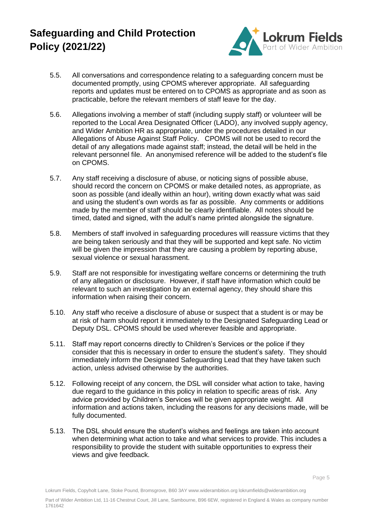

- 5.5. All conversations and correspondence relating to a safeguarding concern must be documented promptly, using CPOMS wherever appropriate. All safeguarding reports and updates must be entered on to CPOMS as appropriate and as soon as practicable, before the relevant members of staff leave for the day.
- 5.6. Allegations involving a member of staff (including supply staff) or volunteer will be reported to the Local Area Designated Officer (LADO), any involved supply agency, and Wider Ambition HR as appropriate, under the procedures detailed in our Allegations of Abuse Against Staff Policy. CPOMS will not be used to record the detail of any allegations made against staff; instead, the detail will be held in the relevant personnel file. An anonymised reference will be added to the student's file on CPOMS.
- 5.7. Any staff receiving a disclosure of abuse, or noticing signs of possible abuse, should record the concern on CPOMS or make detailed notes, as appropriate, as soon as possible (and ideally within an hour), writing down exactly what was said and using the student's own words as far as possible. Any comments or additions made by the member of staff should be clearly identifiable. All notes should be timed, dated and signed, with the adult's name printed alongside the signature.
- 5.8. Members of staff involved in safeguarding procedures will reassure victims that they are being taken seriously and that they will be supported and kept safe. No victim will be given the impression that they are causing a problem by reporting abuse, sexual violence or sexual harassment.
- 5.9. Staff are not responsible for investigating welfare concerns or determining the truth of any allegation or disclosure. However, if staff have information which could be relevant to such an investigation by an external agency, they should share this information when raising their concern.
- 5.10. Any staff who receive a disclosure of abuse or suspect that a student is or may be at risk of harm should report it immediately to the Designated Safeguarding Lead or Deputy DSL. CPOMS should be used wherever feasible and appropriate.
- 5.11. Staff may report concerns directly to Children's Services or the police if they consider that this is necessary in order to ensure the student's safety. They should immediately inform the Designated Safeguarding Lead that they have taken such action, unless advised otherwise by the authorities.
- 5.12. Following receipt of any concern, the DSL will consider what action to take, having due regard to the guidance in this policy in relation to specific areas of risk. Any advice provided by Children's Services will be given appropriate weight. All information and actions taken, including the reasons for any decisions made, will be fully documented.
- 5.13. The DSL should ensure the student's wishes and feelings are taken into account when determining what action to take and what services to provide. This includes a responsibility to provide the student with suitable opportunities to express their views and give feedback.

Page 5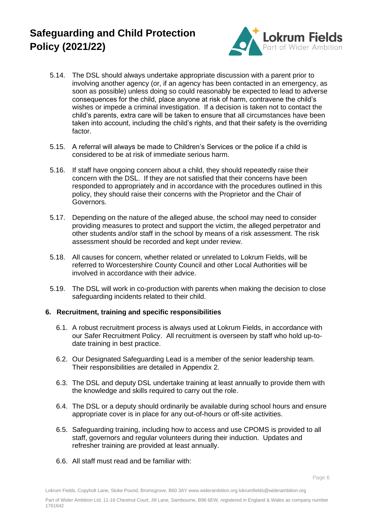

- 5.14. The DSL should always undertake appropriate discussion with a parent prior to involving another agency (or, if an agency has been contacted in an emergency, as soon as possible) unless doing so could reasonably be expected to lead to adverse consequences for the child, place anyone at risk of harm, contravene the child's wishes or impede a criminal investigation. If a decision is taken not to contact the child's parents, extra care will be taken to ensure that all circumstances have been taken into account, including the child's rights, and that their safety is the overriding factor.
- 5.15. A referral will always be made to Children's Services or the police if a child is considered to be at risk of immediate serious harm.
- 5.16. If staff have ongoing concern about a child, they should repeatedly raise their concern with the DSL. If they are not satisfied that their concerns have been responded to appropriately and in accordance with the procedures outlined in this policy, they should raise their concerns with the Proprietor and the Chair of Governors.
- 5.17. Depending on the nature of the alleged abuse, the school may need to consider providing measures to protect and support the victim, the alleged perpetrator and other students and/or staff in the school by means of a risk assessment. The risk assessment should be recorded and kept under review.
- 5.18. All causes for concern, whether related or unrelated to Lokrum Fields, will be referred to Worcestershire County Council and other Local Authorities will be involved in accordance with their advice.
- 5.19. The DSL will work in co-production with parents when making the decision to close safeguarding incidents related to their child.

### **6. Recruitment, training and specific responsibilities**

- 6.1. A robust recruitment process is always used at Lokrum Fields, in accordance with our Safer Recruitment Policy. All recruitment is overseen by staff who hold up-todate training in best practice.
- 6.2. Our Designated Safeguarding Lead is a member of the senior leadership team. Their responsibilities are detailed in Appendix 2.
- 6.3. The DSL and deputy DSL undertake training at least annually to provide them with the knowledge and skills required to carry out the role.
- 6.4. The DSL or a deputy should ordinarily be available during school hours and ensure appropriate cover is in place for any out-of-hours or off-site activities.
- 6.5. Safeguarding training, including how to access and use CPOMS is provided to all staff, governors and regular volunteers during their induction. Updates and refresher training are provided at least annually.
- 6.6. All staff must read and be familiar with: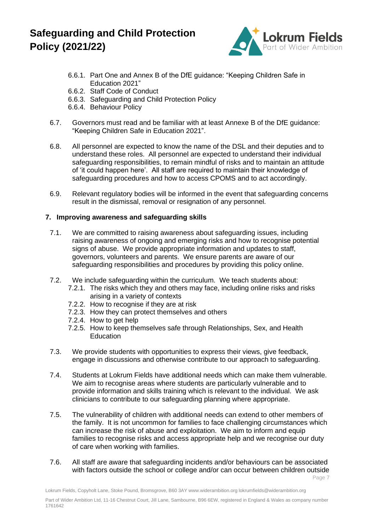

- 6.6.1. Part One and Annex B of the DfE guidance: "Keeping Children Safe in Education 2021"
- 6.6.2. Staff Code of Conduct
- 6.6.3. Safeguarding and Child Protection Policy
- 6.6.4. Behaviour Policy
- 6.7. Governors must read and be familiar with at least Annexe B of the DfE guidance: "Keeping Children Safe in Education 2021".
- 6.8. All personnel are expected to know the name of the DSL and their deputies and to understand these roles. All personnel are expected to understand their individual safeguarding responsibilities, to remain mindful of risks and to maintain an attitude of 'it could happen here'. All staff are required to maintain their knowledge of safeguarding procedures and how to access CPOMS and to act accordingly.
- 6.9. Relevant regulatory bodies will be informed in the event that safeguarding concerns result in the dismissal, removal or resignation of any personnel.

### **7. Improving awareness and safeguarding skills**

- 7.1. We are committed to raising awareness about safeguarding issues, including raising awareness of ongoing and emerging risks and how to recognise potential signs of abuse. We provide appropriate information and updates to staff, governors, volunteers and parents. We ensure parents are aware of our safeguarding responsibilities and procedures by providing this policy online.
- 7.2. We include safeguarding within the curriculum. We teach students about:
	- 7.2.1. The risks which they and others may face, including online risks and risks arising in a variety of contexts
	- 7.2.2. How to recognise if they are at risk
	- 7.2.3. How they can protect themselves and others
	- 7.2.4. How to get help
	- 7.2.5. How to keep themselves safe through Relationships, Sex, and Health **Education**
- 7.3. We provide students with opportunities to express their views, give feedback, engage in discussions and otherwise contribute to our approach to safeguarding.
- 7.4. Students at Lokrum Fields have additional needs which can make them vulnerable. We aim to recognise areas where students are particularly vulnerable and to provide information and skills training which is relevant to the individual. We ask clinicians to contribute to our safeguarding planning where appropriate.
- 7.5. The vulnerability of children with additional needs can extend to other members of the family. It is not uncommon for families to face challenging circumstances which can increase the risk of abuse and exploitation. We aim to inform and equip families to recognise risks and access appropriate help and we recognise our duty of care when working with families.
- Page 7 7.6. All staff are aware that safeguarding incidents and/or behaviours can be associated with factors outside the school or college and/or can occur between children outside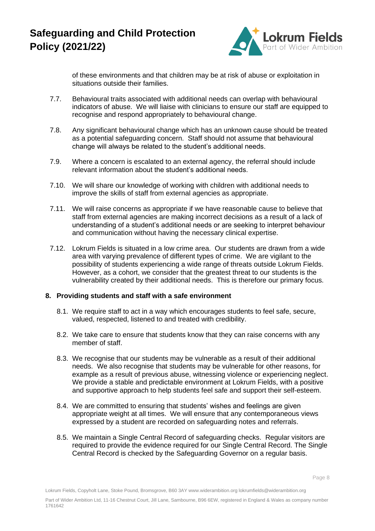

of these environments and that children may be at risk of abuse or exploitation in situations outside their families.

- 7.7. Behavioural traits associated with additional needs can overlap with behavioural indicators of abuse. We will liaise with clinicians to ensure our staff are equipped to recognise and respond appropriately to behavioural change.
- 7.8. Any significant behavioural change which has an unknown cause should be treated as a potential safeguarding concern. Staff should not assume that behavioural change will always be related to the student's additional needs.
- 7.9. Where a concern is escalated to an external agency, the referral should include relevant information about the student's additional needs.
- 7.10. We will share our knowledge of working with children with additional needs to improve the skills of staff from external agencies as appropriate.
- 7.11. We will raise concerns as appropriate if we have reasonable cause to believe that staff from external agencies are making incorrect decisions as a result of a lack of understanding of a student's additional needs or are seeking to interpret behaviour and communication without having the necessary clinical expertise.
- 7.12. Lokrum Fields is situated in a low crime area. Our students are drawn from a wide area with varying prevalence of different types of crime. We are vigilant to the possibility of students experiencing a wide range of threats outside Lokrum Fields. However, as a cohort, we consider that the greatest threat to our students is the vulnerability created by their additional needs. This is therefore our primary focus.

#### **8. Providing students and staff with a safe environment**

- 8.1. We require staff to act in a way which encourages students to feel safe, secure, valued, respected, listened to and treated with credibility.
- 8.2. We take care to ensure that students know that they can raise concerns with any member of staff.
- 8.3. We recognise that our students may be vulnerable as a result of their additional needs. We also recognise that students may be vulnerable for other reasons, for example as a result of previous abuse, witnessing violence or experiencing neglect. We provide a stable and predictable environment at Lokrum Fields, with a positive and supportive approach to help students feel safe and support their self-esteem.
- 8.4. We are committed to ensuring that students' wishes and feelings are given appropriate weight at all times. We will ensure that any contemporaneous views expressed by a student are recorded on safeguarding notes and referrals.
- 8.5. We maintain a Single Central Record of safeguarding checks. Regular visitors are required to provide the evidence required for our Single Central Record. The Single Central Record is checked by the Safeguarding Governor on a regular basis.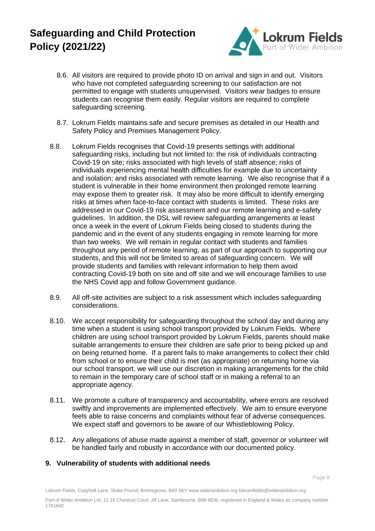

- 8.6. All visitors are required to provide photo ID on arrival and sign in and out. Visitors who have not completed safeguarding screening to our satisfaction are not permitted to engage with students unsupervised. Visitors wear badges to ensure students can recognise them easily. Regular visitors are required to complete safeguarding screening.
- 8.7. Lokrum Fields maintains safe and secure premises as detailed in our Health and Safety Policy and Premises Management Policy.
- 8.8. Lokrum Fields recognises that Covid-19 presents settings with additional safeguarding risks, including but not limited to: the risk of individuals contracting Covid-19 on site; risks associated with high levels of staff absence; risks of individuals experiencing mental health difficulties for example due to uncertainty and isolation; and risks associated with remote learning. We also recognise that if a student is vulnerable in their home environment then prolonged remote learning may expose them to greater risk. It may also be more difficult to identify emerging risks at times when face-to-face contact with students is limited. These risks are addressed in our Covid-19 risk assessment and our remote learning and e-safety guidelines. In addition, the DSL will review safeguarding arrangements at least once a week in the event of Lokrum Fields being closed to students during the pandemic and in the event of any students engaging in remote learning for more than two weeks. We will remain in regular contact with students and families throughout any period of remote learning, as part of our approach to supporting our students, and this will not be limited to areas of safeguarding concern. We will provide students and families with relevant information to help them avoid contracting Covid-19 both on site and off site and we will encourage families to use the NHS Covid app and follow Government guidance.
- 8.9. All off-site activities are subject to a risk assessment which includes safeguarding considerations.
- 8.10. We accept responsibility for safeguarding throughout the school day and during any time when a student is using school transport provided by Lokrum Fields. Where children are using school transport provided by Lokrum Fields, parents should make suitable arrangements to ensure their children are safe prior to being picked up and on being returned home. If a parent fails to make arrangements to collect their child from school or to ensure their child is met (as appropriate) on returning home via our school transport, we will use our discretion in making arrangements for the child to remain in the temporary care of school staff or in making a referral to an appropriate agency.
- 8.11. We promote a culture of transparency and accountability, where errors are resolved swiftly and improvements are implemented effectively. We aim to ensure everyone feels able to raise concerns and complaints without fear of adverse consequences. We expect staff and governors to be aware of our Whistleblowing Policy.
- 8.12. Any allegations of abuse made against a member of staff, governor or volunteer will be handled fairly and robustly in accordance with our documented policy.

### **9. Vulnerability of students with additional needs**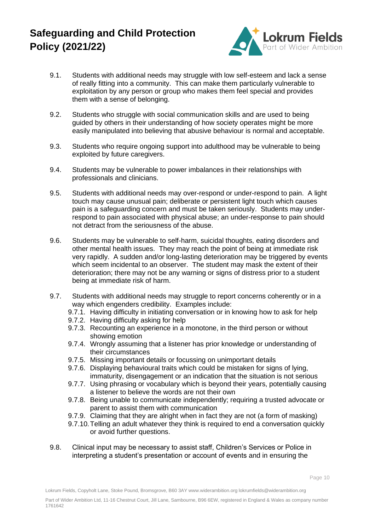

- 9.1. Students with additional needs may struggle with low self-esteem and lack a sense of really fitting into a community. This can make them particularly vulnerable to exploitation by any person or group who makes them feel special and provides them with a sense of belonging.
- 9.2. Students who struggle with social communication skills and are used to being guided by others in their understanding of how society operates might be more easily manipulated into believing that abusive behaviour is normal and acceptable.
- 9.3. Students who require ongoing support into adulthood may be vulnerable to being exploited by future caregivers.
- 9.4. Students may be vulnerable to power imbalances in their relationships with professionals and clinicians.
- 9.5. Students with additional needs may over-respond or under-respond to pain. A light touch may cause unusual pain; deliberate or persistent light touch which causes pain is a safeguarding concern and must be taken seriously. Students may underrespond to pain associated with physical abuse; an under-response to pain should not detract from the seriousness of the abuse.
- 9.6. Students may be vulnerable to self-harm, suicidal thoughts, eating disorders and other mental health issues. They may reach the point of being at immediate risk very rapidly. A sudden and/or long-lasting deterioration may be triggered by events which seem incidental to an observer. The student may mask the extent of their deterioration; there may not be any warning or signs of distress prior to a student being at immediate risk of harm.
- 9.7. Students with additional needs may struggle to report concerns coherently or in a way which engenders credibility. Examples include:
	- 9.7.1. Having difficulty in initiating conversation or in knowing how to ask for help
	- 9.7.2. Having difficulty asking for help
	- 9.7.3. Recounting an experience in a monotone, in the third person or without showing emotion
	- 9.7.4. Wrongly assuming that a listener has prior knowledge or understanding of their circumstances
	- 9.7.5. Missing important details or focussing on unimportant details
	- 9.7.6. Displaying behavioural traits which could be mistaken for signs of lying, immaturity, disengagement or an indication that the situation is not serious
	- 9.7.7. Using phrasing or vocabulary which is beyond their years, potentially causing a listener to believe the words are not their own
	- 9.7.8. Being unable to communicate independently; requiring a trusted advocate or parent to assist them with communication
	- 9.7.9. Claiming that they are alright when in fact they are not (a form of masking)
	- 9.7.10.Telling an adult whatever they think is required to end a conversation quickly or avoid further questions.
- 9.8. Clinical input may be necessary to assist staff, Children's Services or Police in interpreting a student's presentation or account of events and in ensuring the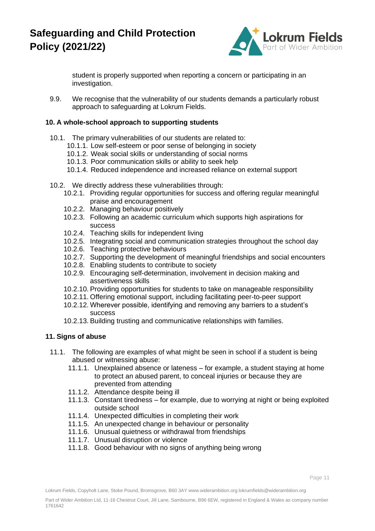

student is properly supported when reporting a concern or participating in an investigation.

9.9. We recognise that the vulnerability of our students demands a particularly robust approach to safeguarding at Lokrum Fields.

### **10. A whole-school approach to supporting students**

- 10.1. The primary vulnerabilities of our students are related to:
	- 10.1.1. Low self-esteem or poor sense of belonging in society
	- 10.1.2. Weak social skills or understanding of social norms
	- 10.1.3. Poor communication skills or ability to seek help
	- 10.1.4. Reduced independence and increased reliance on external support
- 10.2. We directly address these vulnerabilities through:
	- 10.2.1. Providing regular opportunities for success and offering regular meaningful praise and encouragement
	- 10.2.2. Managing behaviour positively
	- 10.2.3. Following an academic curriculum which supports high aspirations for success
	- 10.2.4. Teaching skills for independent living
	- 10.2.5. Integrating social and communication strategies throughout the school day
	- 10.2.6. Teaching protective behaviours
	- 10.2.7. Supporting the development of meaningful friendships and social encounters
	- 10.2.8. Enabling students to contribute to society
	- 10.2.9. Encouraging self-determination, involvement in decision making and assertiveness skills
	- 10.2.10. Providing opportunities for students to take on manageable responsibility
	- 10.2.11. Offering emotional support, including facilitating peer-to-peer support
	- 10.2.12. Wherever possible, identifying and removing any barriers to a student's success
	- 10.2.13. Building trusting and communicative relationships with families.

### **11. Signs of abuse**

- 11.1. The following are examples of what might be seen in school if a student is being abused or witnessing abuse:
	- 11.1.1. Unexplained absence or lateness for example, a student staying at home to protect an abused parent, to conceal injuries or because they are prevented from attending
	- 11.1.2. Attendance despite being ill
	- 11.1.3. Constant tiredness for example, due to worrying at night or being exploited outside school
	- 11.1.4. Unexpected difficulties in completing their work
	- 11.1.5. An unexpected change in behaviour or personality
	- 11.1.6. Unusual quietness or withdrawal from friendships
	- 11.1.7. Unusual disruption or violence
	- 11.1.8. Good behaviour with no signs of anything being wrong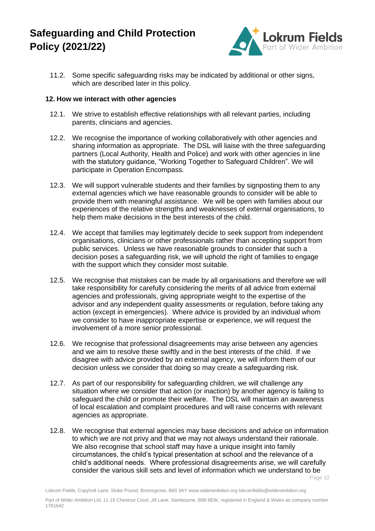

11.2. Some specific safeguarding risks may be indicated by additional or other signs, which are described later in this policy.

#### **12. How we interact with other agencies**

- 12.1. We strive to establish effective relationships with all relevant parties, including parents, clinicians and agencies.
- 12.2. We recognise the importance of working collaboratively with other agencies and sharing information as appropriate. The DSL will liaise with the three safeguarding partners (Local Authority, Health and Police) and work with other agencies in line with the statutory guidance, "Working Together to Safeguard Children". We will participate in Operation Encompass.
- 12.3. We will support vulnerable students and their families by signposting them to any external agencies which we have reasonable grounds to consider will be able to provide them with meaningful assistance. We will be open with families about our experiences of the relative strengths and weaknesses of external organisations, to help them make decisions in the best interests of the child.
- 12.4. We accept that families may legitimately decide to seek support from independent organisations, clinicians or other professionals rather than accepting support from public services. Unless we have reasonable grounds to consider that such a decision poses a safeguarding risk, we will uphold the right of families to engage with the support which they consider most suitable.
- 12.5. We recognise that mistakes can be made by all organisations and therefore we will take responsibility for carefully considering the merits of all advice from external agencies and professionals, giving appropriate weight to the expertise of the advisor and any independent quality assessments or regulation, before taking any action (except in emergencies). Where advice is provided by an individual whom we consider to have inappropriate expertise or experience, we will request the involvement of a more senior professional.
- 12.6. We recognise that professional disagreements may arise between any agencies and we aim to resolve these swiftly and in the best interests of the child. If we disagree with advice provided by an external agency, we will inform them of our decision unless we consider that doing so may create a safeguarding risk.
- 12.7. As part of our responsibility for safeguarding children, we will challenge any situation where we consider that action (or inaction) by another agency is failing to safeguard the child or promote their welfare. The DSL will maintain an awareness of local escalation and complaint procedures and will raise concerns with relevant agencies as appropriate.
- 12.8. We recognise that external agencies may base decisions and advice on information to which we are not privy and that we may not always understand their rationale. We also recognise that school staff may have a unique insight into family circumstances, the child's typical presentation at school and the relevance of a child's additional needs. Where professional disagreements arise, we will carefully consider the various skill sets and level of information which we understand to be

Page 12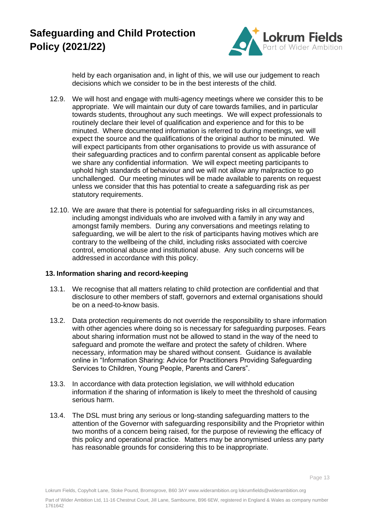

held by each organisation and, in light of this, we will use our judgement to reach decisions which we consider to be in the best interests of the child.

- 12.9. We will host and engage with multi-agency meetings where we consider this to be appropriate. We will maintain our duty of care towards families, and in particular towards students, throughout any such meetings. We will expect professionals to routinely declare their level of qualification and experience and for this to be minuted. Where documented information is referred to during meetings, we will expect the source and the qualifications of the original author to be minuted. We will expect participants from other organisations to provide us with assurance of their safeguarding practices and to confirm parental consent as applicable before we share any confidential information. We will expect meeting participants to uphold high standards of behaviour and we will not allow any malpractice to go unchallenged. Our meeting minutes will be made available to parents on request unless we consider that this has potential to create a safeguarding risk as per statutory requirements.
- 12.10. We are aware that there is potential for safeguarding risks in all circumstances, including amongst individuals who are involved with a family in any way and amongst family members. During any conversations and meetings relating to safeguarding, we will be alert to the risk of participants having motives which are contrary to the wellbeing of the child, including risks associated with coercive control, emotional abuse and institutional abuse. Any such concerns will be addressed in accordance with this policy.

### **13. Information sharing and record-keeping**

- 13.1. We recognise that all matters relating to child protection are confidential and that disclosure to other members of staff, governors and external organisations should be on a need-to-know basis.
- 13.2. Data protection requirements do not override the responsibility to share information with other agencies where doing so is necessary for safeguarding purposes. Fears about sharing information must not be allowed to stand in the way of the need to safeguard and promote the welfare and protect the safety of children. Where necessary, information may be shared without consent. Guidance is available online in "Information Sharing: Advice for Practitioners Providing Safeguarding Services to Children, Young People, Parents and Carers".
- 13.3. In accordance with data protection legislation, we will withhold education information if the sharing of information is likely to meet the threshold of causing serious harm.
- 13.4. The DSL must bring any serious or long-standing safeguarding matters to the attention of the Governor with safeguarding responsibility and the Proprietor within two months of a concern being raised, for the purpose of reviewing the efficacy of this policy and operational practice. Matters may be anonymised unless any party has reasonable grounds for considering this to be inappropriate.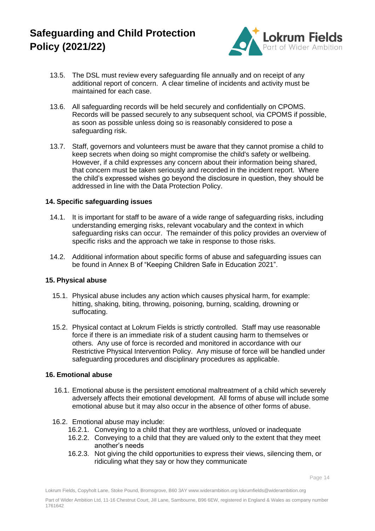

- 13.5. The DSL must review every safeguarding file annually and on receipt of any additional report of concern. A clear timeline of incidents and activity must be maintained for each case.
- 13.6. All safeguarding records will be held securely and confidentially on CPOMS. Records will be passed securely to any subsequent school, via CPOMS if possible, as soon as possible unless doing so is reasonably considered to pose a safeguarding risk.
- 13.7. Staff, governors and volunteers must be aware that they cannot promise a child to keep secrets when doing so might compromise the child's safety or wellbeing. However, if a child expresses any concern about their information being shared, that concern must be taken seriously and recorded in the incident report. Where the child's expressed wishes go beyond the disclosure in question, they should be addressed in line with the Data Protection Policy.

### **14. Specific safeguarding issues**

- 14.1. It is important for staff to be aware of a wide range of safeguarding risks, including understanding emerging risks, relevant vocabulary and the context in which safeguarding risks can occur. The remainder of this policy provides an overview of specific risks and the approach we take in response to those risks.
- 14.2. Additional information about specific forms of abuse and safeguarding issues can be found in Annex B of "Keeping Children Safe in Education 2021".

#### **15. Physical abuse**

- 15.1. Physical abuse includes any action which causes physical harm, for example: hitting, shaking, biting, throwing, poisoning, burning, scalding, drowning or suffocating.
- 15.2. Physical contact at Lokrum Fields is strictly controlled. Staff may use reasonable force if there is an immediate risk of a student causing harm to themselves or others. Any use of force is recorded and monitored in accordance with our Restrictive Physical Intervention Policy. Any misuse of force will be handled under safeguarding procedures and disciplinary procedures as applicable.

#### **16. Emotional abuse**

- 16.1. Emotional abuse is the persistent emotional maltreatment of a child which severely adversely affects their emotional development. All forms of abuse will include some emotional abuse but it may also occur in the absence of other forms of abuse.
- 16.2. Emotional abuse may include:
	- 16.2.1. Conveying to a child that they are worthless, unloved or inadequate
	- 16.2.2. Conveying to a child that they are valued only to the extent that they meet another's needs
	- 16.2.3. Not giving the child opportunities to express their views, silencing them, or ridiculing what they say or how they communicate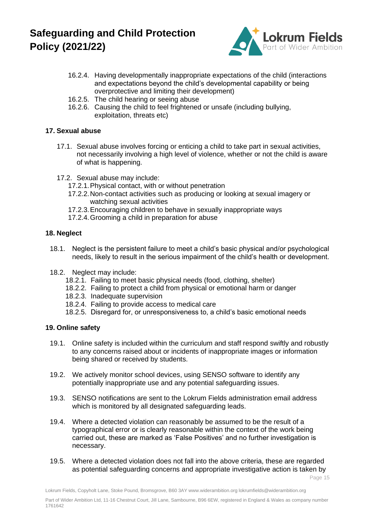

- 16.2.4. Having developmentally inappropriate expectations of the child (interactions and expectations beyond the child's developmental capability or being overprotective and limiting their development)
- 16.2.5. The child hearing or seeing abuse
- 16.2.6. Causing the child to feel frightened or unsafe (including bullying, exploitation, threats etc)

## **17. Sexual abuse**

- 17.1. Sexual abuse involves forcing or enticing a child to take part in sexual activities, not necessarily involving a high level of violence, whether or not the child is aware of what is happening.
- 17.2. Sexual abuse may include:
	- 17.2.1.Physical contact, with or without penetration
	- 17.2.2.Non-contact activities such as producing or looking at sexual imagery or watching sexual activities
	- 17.2.3.Encouraging children to behave in sexually inappropriate ways
	- 17.2.4.Grooming a child in preparation for abuse

### **18. Neglect**

- 18.1. Neglect is the persistent failure to meet a child's basic physical and/or psychological needs, likely to result in the serious impairment of the child's health or development.
- 18.2. Neglect may include:
	- 18.2.1. Failing to meet basic physical needs (food, clothing, shelter)
	- 18.2.2. Failing to protect a child from physical or emotional harm or danger
	- 18.2.3. Inadequate supervision
	- 18.2.4. Failing to provide access to medical care
	- 18.2.5. Disregard for, or unresponsiveness to, a child's basic emotional needs

## **19. Online safety**

- 19.1. Online safety is included within the curriculum and staff respond swiftly and robustly to any concerns raised about or incidents of inappropriate images or information being shared or received by students.
- 19.2. We actively monitor school devices, using SENSO software to identify any potentially inappropriate use and any potential safeguarding issues.
- 19.3. SENSO notifications are sent to the Lokrum Fields administration email address which is monitored by all designated safeguarding leads.
- 19.4. Where a detected violation can reasonably be assumed to be the result of a typographical error or is clearly reasonable within the context of the work being carried out, these are marked as 'False Positives' and no further investigation is necessary.
- 19.5. Where a detected violation does not fall into the above criteria, these are regarded as potential safeguarding concerns and appropriate investigative action is taken by

Page 15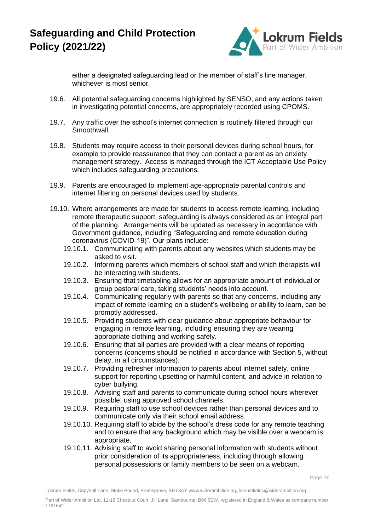

either a designated safeguarding lead or the member of staff's line manager, whichever is most senior.

- 19.6. All potential safeguarding concerns highlighted by SENSO, and any actions taken in investigating potential concerns, are appropriately recorded using CPOMS.
- 19.7. Any traffic over the school's internet connection is routinely filtered through our Smoothwall.
- 19.8. Students may require access to their personal devices during school hours, for example to provide reassurance that they can contact a parent as an anxiety management strategy. Access is managed through the ICT Acceptable Use Policy which includes safeguarding precautions.
- 19.9. Parents are encouraged to implement age-appropriate parental controls and internet filtering on personal devices used by students.
- 19.10. Where arrangements are made for students to access remote learning, including remote therapeutic support, safeguarding is always considered as an integral part of the planning. Arrangements will be updated as necessary in accordance with Government guidance, including "Safeguarding and remote education during coronavirus (COVID-19)". Our plans include:
	- 19.10.1. Communicating with parents about any websites which students may be asked to visit.
	- 19.10.2. Informing parents which members of school staff and which therapists will be interacting with students.
	- 19.10.3. Ensuring that timetabling allows for an appropriate amount of individual or group pastoral care, taking students' needs into account.
	- 19.10.4. Communicating regularly with parents so that any concerns, including any impact of remote learning on a student's wellbeing or ability to learn, can be promptly addressed.
	- 19.10.5. Providing students with clear guidance about appropriate behaviour for engaging in remote learning, including ensuring they are wearing appropriate clothing and working safely.
	- 19.10.6. Ensuring that all parties are provided with a clear means of reporting concerns (concerns should be notified in accordance with Section 5, without delay, in all circumstances).
	- 19.10.7. Providing refresher information to parents about internet safety, online support for reporting upsetting or harmful content, and advice in relation to cyber bullying.
	- 19.10.8. Advising staff and parents to communicate during school hours wherever possible, using approved school channels.
	- 19.10.9. Requiring staff to use school devices rather than personal devices and to communicate only via their school email address.
	- 19.10.10. Requiring staff to abide by the school's dress code for any remote teaching and to ensure that any background which may be visible over a webcam is appropriate.
	- 19.10.11. Advising staff to avoid sharing personal information with students without prior consideration of its appropriateness, including through allowing personal possessions or family members to be seen on a webcam.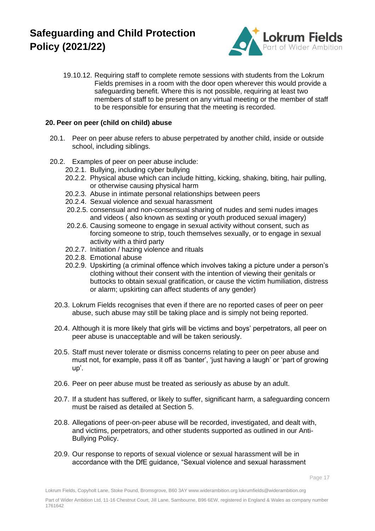

19.10.12. Requiring staff to complete remote sessions with students from the Lokrum Fields premises in a room with the door open wherever this would provide a safeguarding benefit. Where this is not possible, requiring at least two members of staff to be present on any virtual meeting or the member of staff to be responsible for ensuring that the meeting is recorded.

### **20. Peer on peer (child on child) abuse**

- 20.1. Peer on peer abuse refers to abuse perpetrated by another child, inside or outside school, including siblings.
- 20.2. Examples of peer on peer abuse include:
	- 20.2.1. Bullying, including cyber bullying
	- 20.2.2. Physical abuse which can include hitting, kicking, shaking, biting, hair pulling, or otherwise causing physical harm
	- 20.2.3. Abuse in intimate personal relationships between peers
	- 20.2.4. Sexual violence and sexual harassment
	- 20.2.5. consensual and non-consensual sharing of nudes and semi nudes images and videos ( also known as sexting or youth produced sexual imagery)
	- 20.2.6. Causing someone to engage in sexual activity without consent, such as forcing someone to strip, touch themselves sexually, or to engage in sexual activity with a third party
	- 20.2.7. Initiation / hazing violence and rituals
	- 20.2.8. Emotional abuse
	- 20.2.9. Upskirting (a criminal offence which involves taking a picture under a person's clothing without their consent with the intention of viewing their genitals or buttocks to obtain sexual gratification, or cause the victim humiliation, distress or alarm; upskirting can affect students of any gender)
	- 20.3. Lokrum Fields recognises that even if there are no reported cases of peer on peer abuse, such abuse may still be taking place and is simply not being reported.
	- 20.4. Although it is more likely that girls will be victims and boys' perpetrators, all peer on peer abuse is unacceptable and will be taken seriously.
	- 20.5. Staff must never tolerate or dismiss concerns relating to peer on peer abuse and must not, for example, pass it off as 'banter', 'just having a laugh' or 'part of growing up'.
	- 20.6. Peer on peer abuse must be treated as seriously as abuse by an adult.
	- 20.7. If a student has suffered, or likely to suffer, significant harm, a safeguarding concern must be raised as detailed at Section 5.
	- 20.8. Allegations of peer-on-peer abuse will be recorded, investigated, and dealt with, and victims, perpetrators, and other students supported as outlined in our Anti-Bullying Policy.
	- 20.9. Our response to reports of sexual violence or sexual harassment will be in accordance with the DfE guidance, "Sexual violence and sexual harassment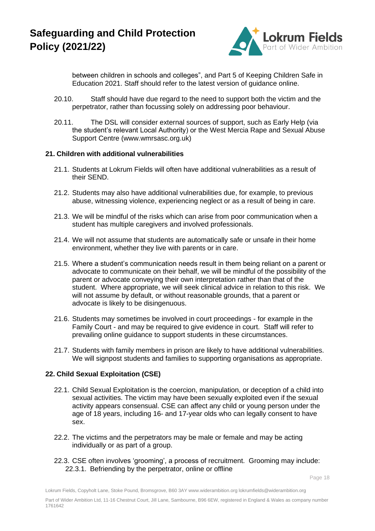

between children in schools and colleges", and Part 5 of Keeping Children Safe in Education 2021. Staff should refer to the latest version of guidance online.

- 20.10. Staff should have due regard to the need to support both the victim and the perpetrator, rather than focussing solely on addressing poor behaviour.
- 20.11. The DSL will consider external sources of support, such as Early Help (via the student's relevant Local Authority) or the West Mercia Rape and Sexual Abuse Support Centre (www.wmrsasc.org.uk)

#### **21. Children with additional vulnerabilities**

- 21.1. Students at Lokrum Fields will often have additional vulnerabilities as a result of their SEND.
- 21.2. Students may also have additional vulnerabilities due, for example, to previous abuse, witnessing violence, experiencing neglect or as a result of being in care.
- 21.3. We will be mindful of the risks which can arise from poor communication when a student has multiple caregivers and involved professionals.
- 21.4. We will not assume that students are automatically safe or unsafe in their home environment, whether they live with parents or in care.
- 21.5. Where a student's communication needs result in them being reliant on a parent or advocate to communicate on their behalf, we will be mindful of the possibility of the parent or advocate conveying their own interpretation rather than that of the student. Where appropriate, we will seek clinical advice in relation to this risk. We will not assume by default, or without reasonable grounds, that a parent or advocate is likely to be disingenuous.
- 21.6. Students may sometimes be involved in court proceedings for example in the Family Court - and may be required to give evidence in court. Staff will refer to prevailing online guidance to support students in these circumstances.
- 21.7. Students with family members in prison are likely to have additional vulnerabilities. We will signpost students and families to supporting organisations as appropriate.

#### **22. Child Sexual Exploitation (CSE)**

- 22.1. Child Sexual Exploitation is the coercion, manipulation, or deception of a child into sexual activities. The victim may have been sexually exploited even if the sexual activity appears consensual. CSE can affect any child or young person under the age of 18 years, including 16- and 17-year olds who can legally consent to have sex.
- 22.2. The victims and the perpetrators may be male or female and may be acting individually or as part of a group.
- 22.3. CSE often involves 'grooming', a process of recruitment. Grooming may include: 22.3.1. Befriending by the perpetrator, online or offline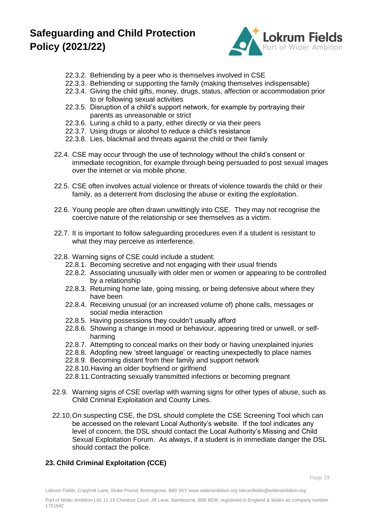

- 22.3.2. Befriending by a peer who is themselves involved in CSE
- 22.3.3. Befriending or supporting the family (making themselves indispensable)
- 22.3.4. Giving the child gifts, money, drugs, status, affection or accommodation prior to or following sexual activities
- 22.3.5. Disruption of a child's support network, for example by portraying their parents as unreasonable or strict
- 22.3.6. Luring a child to a party, either directly or via their peers
- 22.3.7. Using drugs or alcohol to reduce a child's resistance
- 22.3.8. Lies, blackmail and threats against the child or their family
- 22.4. CSE may occur through the use of technology without the child's consent or immediate recognition, for example through being persuaded to post sexual images over the internet or via mobile phone.
- 22.5. CSE often involves actual violence or threats of violence towards the child or their family, as a deterrent from disclosing the abuse or exiting the exploitation.
- 22.6. Young people are often drawn unwittingly into CSE. They may not recognise the coercive nature of the relationship or see themselves as a victim.
- 22.7. It is important to follow safeguarding procedures even if a student is resistant to what they may perceive as interference.
- 22.8. Warning signs of CSE could include a student:
	- 22.8.1. Becoming secretive and not engaging with their usual friends
	- 22.8.2. Associating unusually with older men or women or appearing to be controlled by a relationship
	- 22.8.3. Returning home late, going missing, or being defensive about where they have been
	- 22.8.4. Receiving unusual (or an increased volume of) phone calls, messages or social media interaction
	- 22.8.5. Having possessions they couldn't usually afford
	- 22.8.6. Showing a change in mood or behaviour, appearing tired or unwell, or selfharming
	- 22.8.7. Attempting to conceal marks on their body or having unexplained injuries
	- 22.8.8. Adopting new 'street language' or reacting unexpectedly to place names
	- 22.8.9. Becoming distant from their family and support network
	- 22.8.10.Having an older boyfriend or girlfriend
	- 22.8.11.Contracting sexually transmitted infections or becoming pregnant
- 22.9. Warning signs of CSE overlap with warning signs for other types of abuse, such as Child Criminal Exploitation and County Lines.
- 22.10.On suspecting CSE, the DSL should complete the CSE Screening Tool which can be accessed on the relevant Local Authority's website. If the tool indicates any level of concern, the DSL should contact the Local Authority's Missing and Child Sexual Exploitation Forum. As always, if a student is in immediate danger the DSL should contact the police.

## **23. Child Criminal Exploitation (CCE)**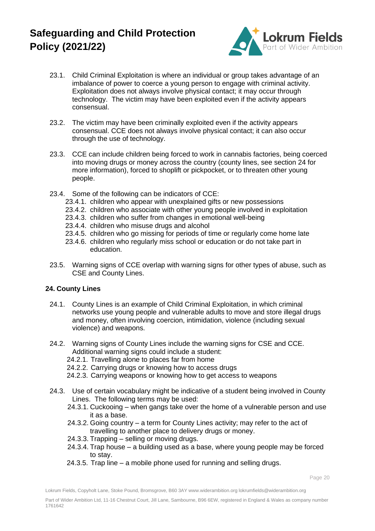

- 23.1. Child Criminal Exploitation is where an individual or group takes advantage of an imbalance of power to coerce a young person to engage with criminal activity. Exploitation does not always involve physical contact; it may occur through technology. The victim may have been exploited even if the activity appears consensual.
- 23.2. The victim may have been criminally exploited even if the activity appears consensual. CCE does not always involve physical contact; it can also occur through the use of technology.
- 23.3. CCE can include children being forced to work in cannabis factories, being coerced into moving drugs or money across the country (county lines, see section 24 for more information), forced to shoplift or pickpocket, or to threaten other young people.
- 23.4. Some of the following can be indicators of CCE:
	- 23.4.1. children who appear with unexplained gifts or new possessions
	- 23.4.2. children who associate with other young people involved in exploitation
	- 23.4.3. children who suffer from changes in emotional well-being
	- 23.4.4. children who misuse drugs and alcohol
	- 23.4.5. children who go missing for periods of time or regularly come home late
	- 23.4.6. children who regularly miss school or education or do not take part in education.
- 23.5. Warning signs of CCE overlap with warning signs for other types of abuse, such as CSE and County Lines.

## **24. County Lines**

- 24.1. County Lines is an example of Child Criminal Exploitation, in which criminal networks use young people and vulnerable adults to move and store illegal drugs and money, often involving coercion, intimidation, violence (including sexual violence) and weapons.
- 24.2. Warning signs of County Lines include the warning signs for CSE and CCE. Additional warning signs could include a student:
	- 24.2.1. Travelling alone to places far from home
	- 24.2.2. Carrying drugs or knowing how to access drugs
	- 24.2.3. Carrying weapons or knowing how to get access to weapons
- 24.3. Use of certain vocabulary might be indicative of a student being involved in County Lines. The following terms may be used:
	- 24.3.1. Cuckooing when gangs take over the home of a vulnerable person and use it as a base.
	- 24.3.2. Going country a term for County Lines activity; may refer to the act of travelling to another place to delivery drugs or money.
	- 24.3.3. Trapping selling or moving drugs.
	- 24.3.4. Trap house a building used as a base, where young people may be forced to stay.
	- 24.3.5. Trap line a mobile phone used for running and selling drugs.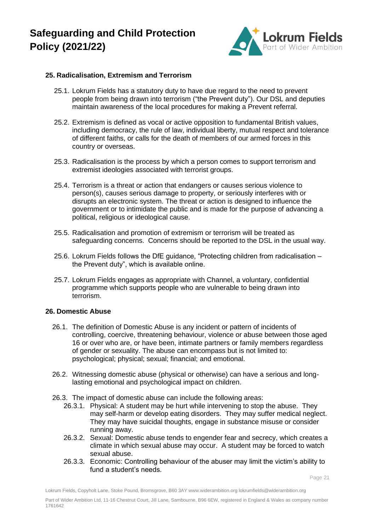

#### **25. Radicalisation, Extremism and Terrorism**

- 25.1. Lokrum Fields has a statutory duty to have due regard to the need to prevent people from being drawn into terrorism ("the Prevent duty"). Our DSL and deputies maintain awareness of the local procedures for making a Prevent referral.
- 25.2. Extremism is defined as vocal or active opposition to fundamental British values, including democracy, the rule of law, individual liberty, mutual respect and tolerance of different faiths, or calls for the death of members of our armed forces in this country or overseas.
- 25.3. Radicalisation is the process by which a person comes to support terrorism and extremist ideologies associated with terrorist groups.
- 25.4. Terrorism is a threat or action that endangers or causes serious violence to person(s), causes serious damage to property, or seriously interferes with or disrupts an electronic system. The threat or action is designed to influence the government or to intimidate the public and is made for the purpose of advancing a political, religious or ideological cause.
- 25.5. Radicalisation and promotion of extremism or terrorism will be treated as safeguarding concerns. Concerns should be reported to the DSL in the usual way.
- 25.6. Lokrum Fields follows the DfE guidance, "Protecting children from radicalisation the Prevent duty", which is available online.
- 25.7. Lokrum Fields engages as appropriate with Channel, a voluntary, confidential programme which supports people who are vulnerable to being drawn into terrorism.

#### **26. Domestic Abuse**

- 26.1. The definition of Domestic Abuse is any incident or pattern of incidents of controlling, coercive, threatening behaviour, violence or abuse between those aged 16 or over who are, or have been, intimate partners or family members regardless of gender or sexuality. The abuse can encompass but is not limited to: psychological; physical; sexual; financial; and emotional.
- 26.2. Witnessing domestic abuse (physical or otherwise) can have a serious and longlasting emotional and psychological impact on children.
- 26.3. The impact of domestic abuse can include the following areas:
	- 26.3.1. Physical: A student may be hurt while intervening to stop the abuse. They may self-harm or develop eating disorders. They may suffer medical neglect. They may have suicidal thoughts, engage in substance misuse or consider running away.
	- 26.3.2. Sexual: Domestic abuse tends to engender fear and secrecy, which creates a climate in which sexual abuse may occur. A student may be forced to watch sexual abuse.
	- 26.3.3. Economic: Controlling behaviour of the abuser may limit the victim's ability to fund a student's needs.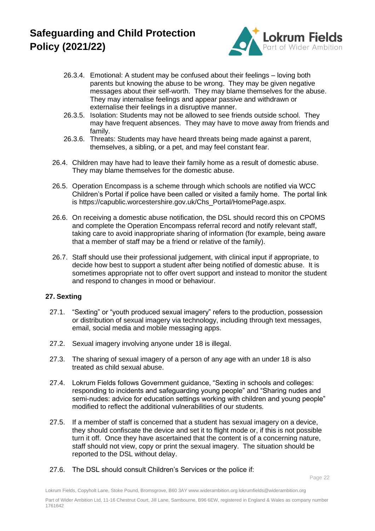

- 26.3.4. Emotional: A student may be confused about their feelings loving both parents but knowing the abuse to be wrong. They may be given negative messages about their self-worth. They may blame themselves for the abuse. They may internalise feelings and appear passive and withdrawn or externalise their feelings in a disruptive manner.
- 26.3.5. Isolation: Students may not be allowed to see friends outside school. They may have frequent absences. They may have to move away from friends and family.
- 26.3.6. Threats: Students may have heard threats being made against a parent, themselves, a sibling, or a pet, and may feel constant fear.
- 26.4. Children may have had to leave their family home as a result of domestic abuse. They may blame themselves for the domestic abuse.
- 26.5. Operation Encompass is a scheme through which schools are notified via WCC Children's Portal if police have been called or visited a family home. The portal link is https://capublic.worcestershire.gov.uk/Chs\_Portal/HomePage.aspx.
- 26.6. On receiving a domestic abuse notification, the DSL should record this on CPOMS and complete the Operation Encompass referral record and notify relevant staff, taking care to avoid inappropriate sharing of information (for example, being aware that a member of staff may be a friend or relative of the family).
- 26.7. Staff should use their professional judgement, with clinical input if appropriate, to decide how best to support a student after being notified of domestic abuse. It is sometimes appropriate not to offer overt support and instead to monitor the student and respond to changes in mood or behaviour.

### **27. Sexting**

- 27.1. "Sexting" or "youth produced sexual imagery" refers to the production, possession or distribution of sexual imagery via technology, including through text messages, email, social media and mobile messaging apps.
- 27.2. Sexual imagery involving anyone under 18 is illegal.
- 27.3. The sharing of sexual imagery of a person of any age with an under 18 is also treated as child sexual abuse.
- 27.4. Lokrum Fields follows Government guidance, "Sexting in schools and colleges: responding to incidents and safeguarding young people" and "Sharing nudes and semi-nudes: advice for education settings working with children and young people" modified to reflect the additional vulnerabilities of our students.
- 27.5. If a member of staff is concerned that a student has sexual imagery on a device, they should confiscate the device and set it to flight mode or, if this is not possible turn it off. Once they have ascertained that the content is of a concerning nature, staff should not view, copy or print the sexual imagery. The situation should be reported to the DSL without delay.
- 27.6. The DSL should consult Children's Services or the police if: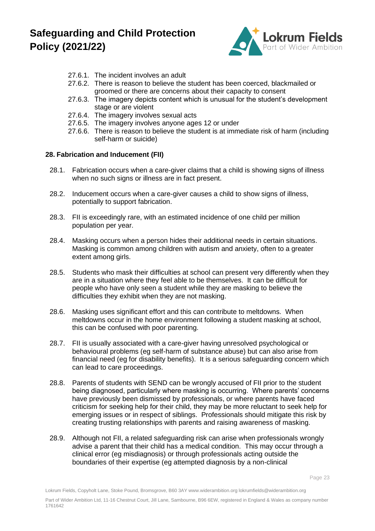

- 27.6.1. The incident involves an adult
- 27.6.2. There is reason to believe the student has been coerced, blackmailed or groomed or there are concerns about their capacity to consent
- 27.6.3. The imagery depicts content which is unusual for the student's development stage or are violent
- 27.6.4. The imagery involves sexual acts
- 27.6.5. The imagery involves anyone ages 12 or under
- 27.6.6. There is reason to believe the student is at immediate risk of harm (including self-harm or suicide)

#### **28. Fabrication and Inducement (FII)**

- 28.1. Fabrication occurs when a care-giver claims that a child is showing signs of illness when no such signs or illness are in fact present.
- 28.2. Inducement occurs when a care-giver causes a child to show signs of illness, potentially to support fabrication.
- 28.3. FII is exceedingly rare, with an estimated incidence of one child per million population per year.
- 28.4. Masking occurs when a person hides their additional needs in certain situations. Masking is common among children with autism and anxiety, often to a greater extent among girls.
- 28.5. Students who mask their difficulties at school can present very differently when they are in a situation where they feel able to be themselves. It can be difficult for people who have only seen a student while they are masking to believe the difficulties they exhibit when they are not masking.
- 28.6. Masking uses significant effort and this can contribute to meltdowns. When meltdowns occur in the home environment following a student masking at school, this can be confused with poor parenting.
- 28.7. FII is usually associated with a care-giver having unresolved psychological or behavioural problems (eg self-harm of substance abuse) but can also arise from financial need (eg for disability benefits). It is a serious safeguarding concern which can lead to care proceedings.
- 28.8. Parents of students with SEND can be wrongly accused of FII prior to the student being diagnosed, particularly where masking is occurring. Where parents' concerns have previously been dismissed by professionals, or where parents have faced criticism for seeking help for their child, they may be more reluctant to seek help for emerging issues or in respect of siblings. Professionals should mitigate this risk by creating trusting relationships with parents and raising awareness of masking.
- 28.9. Although not FII, a related safeguarding risk can arise when professionals wrongly advise a parent that their child has a medical condition. This may occur through a clinical error (eg misdiagnosis) or through professionals acting outside the boundaries of their expertise (eg attempted diagnosis by a non-clinical

Page 23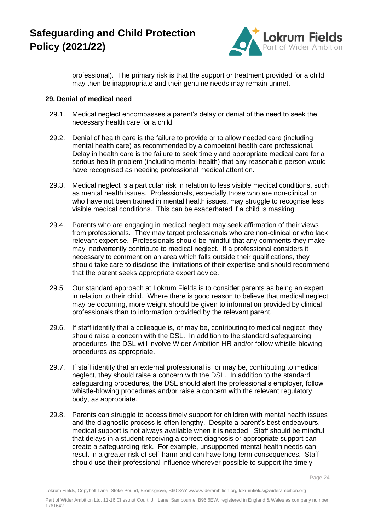

professional). The primary risk is that the support or treatment provided for a child may then be inappropriate and their genuine needs may remain unmet.

#### **29. Denial of medical need**

- 29.1. Medical neglect encompasses a parent's delay or denial of the need to seek the necessary health care for a child.
- 29.2. Denial of health care is the failure to provide or to allow needed care (including mental health care) as recommended by a competent health care professional. Delay in health care is the failure to seek timely and appropriate medical care for a serious health problem (including mental health) that any reasonable person would have recognised as needing professional medical attention.
- 29.3. Medical neglect is a particular risk in relation to less visible medical conditions, such as mental health issues. Professionals, especially those who are non-clinical or who have not been trained in mental health issues, may struggle to recognise less visible medical conditions. This can be exacerbated if a child is masking.
- 29.4. Parents who are engaging in medical neglect may seek affirmation of their views from professionals. They may target professionals who are non-clinical or who lack relevant expertise. Professionals should be mindful that any comments they make may inadvertently contribute to medical neglect. If a professional considers it necessary to comment on an area which falls outside their qualifications, they should take care to disclose the limitations of their expertise and should recommend that the parent seeks appropriate expert advice.
- 29.5. Our standard approach at Lokrum Fields is to consider parents as being an expert in relation to their child. Where there is good reason to believe that medical neglect may be occurring, more weight should be given to information provided by clinical professionals than to information provided by the relevant parent.
- 29.6. If staff identify that a colleague is, or may be, contributing to medical neglect, they should raise a concern with the DSL. In addition to the standard safeguarding procedures, the DSL will involve Wider Ambition HR and/or follow whistle-blowing procedures as appropriate.
- 29.7. If staff identify that an external professional is, or may be, contributing to medical neglect, they should raise a concern with the DSL. In addition to the standard safeguarding procedures, the DSL should alert the professional's employer, follow whistle-blowing procedures and/or raise a concern with the relevant regulatory body, as appropriate.
- 29.8. Parents can struggle to access timely support for children with mental health issues and the diagnostic process is often lengthy. Despite a parent's best endeavours, medical support is not always available when it is needed. Staff should be mindful that delays in a student receiving a correct diagnosis or appropriate support can create a safeguarding risk. For example, unsupported mental health needs can result in a greater risk of self-harm and can have long-term consequences. Staff should use their professional influence wherever possible to support the timely

Page 24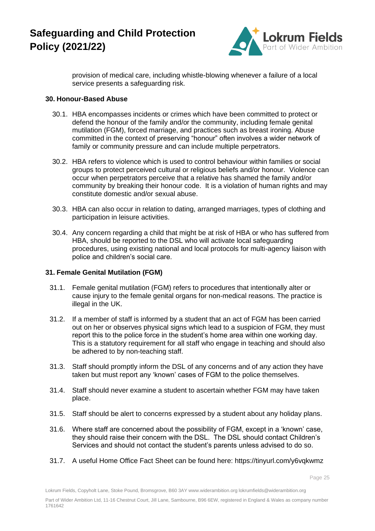

provision of medical care, including whistle-blowing whenever a failure of a local service presents a safeguarding risk.

#### **30. Honour-Based Abuse**

- 30.1. HBA encompasses incidents or crimes which have been committed to protect or defend the honour of the family and/or the community, including female genital mutilation (FGM), forced marriage, and practices such as breast ironing. Abuse committed in the context of preserving "honour" often involves a wider network of family or community pressure and can include multiple perpetrators.
- 30.2. HBA refers to violence which is used to control behaviour within families or social groups to protect perceived cultural or religious beliefs and/or honour. Violence can occur when perpetrators perceive that a relative has shamed the family and/or community by breaking their honour code. It is a violation of human rights and may constitute domestic and/or sexual abuse.
- 30.3. HBA can also occur in relation to dating, arranged marriages, types of clothing and participation in leisure activities.
- 30.4. Any concern regarding a child that might be at risk of HBA or who has suffered from HBA, should be reported to the DSL who will activate local safeguarding procedures, using existing national and local protocols for multi-agency liaison with police and children's social care.

### **31. Female Genital Mutilation (FGM)**

- 31.1. Female genital mutilation (FGM) refers to procedures that intentionally alter or cause injury to the female genital organs for non-medical reasons. The practice is illegal in the UK.
- 31.2. If a member of staff is informed by a student that an act of FGM has been carried out on her or observes physical signs which lead to a suspicion of FGM, they must report this to the police force in the student's home area within one working day. This is a statutory requirement for all staff who engage in teaching and should also be adhered to by non-teaching staff.
- 31.3. Staff should promptly inform the DSL of any concerns and of any action they have taken but must report any 'known' cases of FGM to the police themselves.
- 31.4. Staff should never examine a student to ascertain whether FGM may have taken place.
- 31.5. Staff should be alert to concerns expressed by a student about any holiday plans.
- 31.6. Where staff are concerned about the possibility of FGM, except in a 'known' case, they should raise their concern with the DSL. The DSL should contact Children's Services and should not contact the student's parents unless advised to do so.
- 31.7. A useful Home Office Fact Sheet can be found here: https://tinyurl.com/y6vqkwmz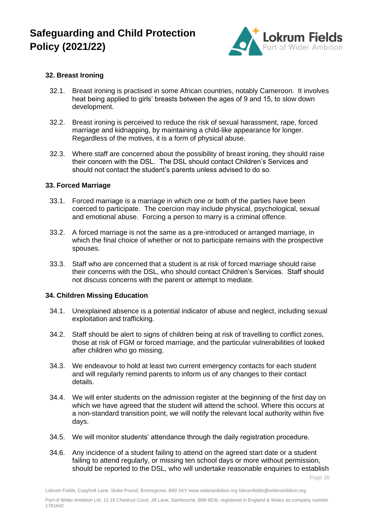

### **32. Breast Ironing**

- 32.1. Breast ironing is practised in some African countries, notably Cameroon. It involves heat being applied to girls' breasts between the ages of 9 and 15, to slow down development.
- 32.2. Breast ironing is perceived to reduce the risk of sexual harassment, rape, forced marriage and kidnapping, by maintaining a child-like appearance for longer. Regardless of the motives, it is a form of physical abuse.
- 32.3. Where staff are concerned about the possibility of breast ironing, they should raise their concern with the DSL. The DSL should contact Children's Services and should not contact the student's parents unless advised to do so.

#### **33. Forced Marriage**

- 33.1. Forced marriage is a marriage in which one or both of the parties have been coerced to participate. The coercion may include physical, psychological, sexual and emotional abuse. Forcing a person to marry is a criminal offence.
- 33.2. A forced marriage is not the same as a pre-introduced or arranged marriage, in which the final choice of whether or not to participate remains with the prospective spouses.
- 33.3. Staff who are concerned that a student is at risk of forced marriage should raise their concerns with the DSL, who should contact Children's Services. Staff should not discuss concerns with the parent or attempt to mediate.

#### **34. Children Missing Education**

- 34.1. Unexplained absence is a potential indicator of abuse and neglect, including sexual exploitation and trafficking.
- 34.2. Staff should be alert to signs of children being at risk of travelling to conflict zones, those at risk of FGM or forced marriage, and the particular vulnerabilities of looked after children who go missing.
- 34.3. We endeavour to hold at least two current emergency contacts for each student and will regularly remind parents to inform us of any changes to their contact details.
- 34.4. We will enter students on the admission register at the beginning of the first day on which we have agreed that the student will attend the school. Where this occurs at a non-standard transition point, we will notify the relevant local authority within five days.
- 34.5. We will monitor students' attendance through the daily registration procedure.
- 34.6. Any incidence of a student failing to attend on the agreed start date or a student failing to attend regularly, or missing ten school days or more without permission, should be reported to the DSL, who will undertake reasonable enquiries to establish

Page 26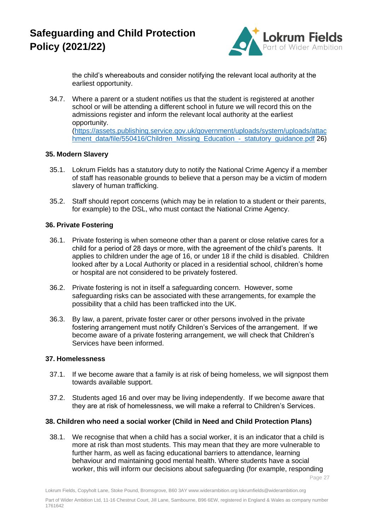

the child's whereabouts and consider notifying the relevant local authority at the earliest opportunity.

34.7. Where a parent or a student notifies us that the student is registered at another school or will be attending a different school in future we will record this on the admissions register and inform the relevant local authority at the earliest opportunity. [\(https://assets.publishing.service.gov.uk/government/uploads/system/uploads/attac](https://assets.publishing.service.gov.uk/government/uploads/system/uploads/attachment_data/file/550416/Children_Missing_Education_-_statutory_guidance.pdf) [hment\\_data/file/550416/Children\\_Missing\\_Education\\_-\\_statutory\\_guidance.pdf](https://assets.publishing.service.gov.uk/government/uploads/system/uploads/attachment_data/file/550416/Children_Missing_Education_-_statutory_guidance.pdf) 26)

#### **35. Modern Slavery**

- 35.1. Lokrum Fields has a statutory duty to notify the National Crime Agency if a member of staff has reasonable grounds to believe that a person may be a victim of modern slavery of human trafficking.
- 35.2. Staff should report concerns (which may be in relation to a student or their parents, for example) to the DSL, who must contact the National Crime Agency.

#### **36. Private Fostering**

- 36.1. Private fostering is when someone other than a parent or close relative cares for a child for a period of 28 days or more, with the agreement of the child's parents. It applies to children under the age of 16, or under 18 if the child is disabled. Children looked after by a Local Authority or placed in a residential school, children's home or hospital are not considered to be privately fostered.
- 36.2. Private fostering is not in itself a safeguarding concern. However, some safeguarding risks can be associated with these arrangements, for example the possibility that a child has been trafficked into the UK.
- 36.3. By law, a parent, private foster carer or other persons involved in the private fostering arrangement must notify Children's Services of the arrangement. If we become aware of a private fostering arrangement, we will check that Children's Services have been informed.

### **37. Homelessness**

- 37.1. If we become aware that a family is at risk of being homeless, we will signpost them towards available support.
- 37.2. Students aged 16 and over may be living independently. If we become aware that they are at risk of homelessness, we will make a referral to Children's Services.

### **38. Children who need a social worker (Child in Need and Child Protection Plans)**

38.1. We recognise that when a child has a social worker, it is an indicator that a child is more at risk than most students. This may mean that they are more vulnerable to further harm, as well as facing educational barriers to attendance, learning behaviour and maintaining good mental health. Where students have a social worker, this will inform our decisions about safeguarding (for example, responding

Page 27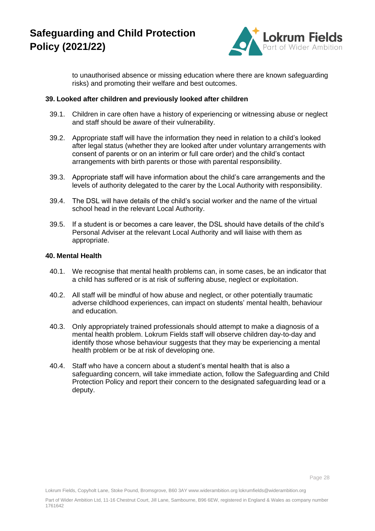

to unauthorised absence or missing education where there are known safeguarding risks) and promoting their welfare and best outcomes.

#### **39. Looked after children and previously looked after children**

- 39.1. Children in care often have a history of experiencing or witnessing abuse or neglect and staff should be aware of their vulnerability.
- 39.2. Appropriate staff will have the information they need in relation to a child's looked after legal status (whether they are looked after under voluntary arrangements with consent of parents or on an interim or full care order) and the child's contact arrangements with birth parents or those with parental responsibility.
- 39.3. Appropriate staff will have information about the child's care arrangements and the levels of authority delegated to the carer by the Local Authority with responsibility.
- 39.4. The DSL will have details of the child's social worker and the name of the virtual school head in the relevant Local Authority.
- 39.5. If a student is or becomes a care leaver, the DSL should have details of the child's Personal Adviser at the relevant Local Authority and will liaise with them as appropriate.

#### **40. Mental Health**

- 40.1. We recognise that mental health problems can, in some cases, be an indicator that a child has suffered or is at risk of suffering abuse, neglect or exploitation.
- 40.2. All staff will be mindful of how abuse and neglect, or other potentially traumatic adverse childhood experiences, can impact on students' mental health, behaviour and education.
- 40.3. Only appropriately trained professionals should attempt to make a diagnosis of a mental health problem. Lokrum Fields staff will observe children day-to-day and identify those whose behaviour suggests that they may be experiencing a mental health problem or be at risk of developing one.
- 40.4. Staff who have a concern about a student's mental health that is also a safeguarding concern, will take immediate action, follow the Safeguarding and Child Protection Policy and report their concern to the designated safeguarding lead or a deputy.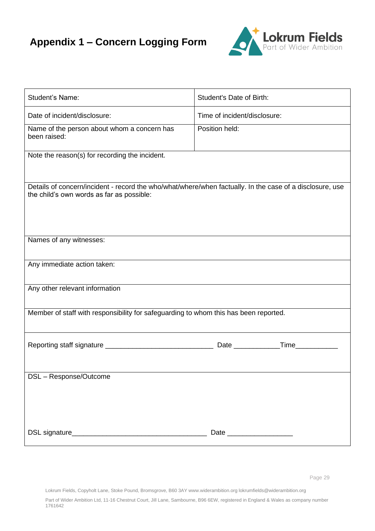# **Appendix 1 – Concern Logging Form**



| Student's Name:                                                                                                                                       | Student's Date of Birth:     |
|-------------------------------------------------------------------------------------------------------------------------------------------------------|------------------------------|
| Date of incident/disclosure:                                                                                                                          | Time of incident/disclosure: |
| Name of the person about whom a concern has<br>been raised:                                                                                           | Position held:               |
| Note the reason(s) for recording the incident.                                                                                                        |                              |
| Details of concern/incident - record the who/what/where/when factually. In the case of a disclosure, use<br>the child's own words as far as possible: |                              |
| Names of any witnesses:                                                                                                                               |                              |
| Any immediate action taken:                                                                                                                           |                              |
| Any other relevant information                                                                                                                        |                              |
| Member of staff with responsibility for safeguarding to whom this has been reported.                                                                  |                              |
|                                                                                                                                                       |                              |
| DSL - Response/Outcome                                                                                                                                |                              |
|                                                                                                                                                       |                              |

Lokrum Fields, Copyholt Lane, Stoke Pound, Bromsgrove, B60 3AY www.widerambition.org lokrumfields@widerambition.org

Part of Wider Ambition Ltd, 11-16 Chestnut Court, Jill Lane, Sambourne, B96 6EW, registered in England & Wales as company number 1761642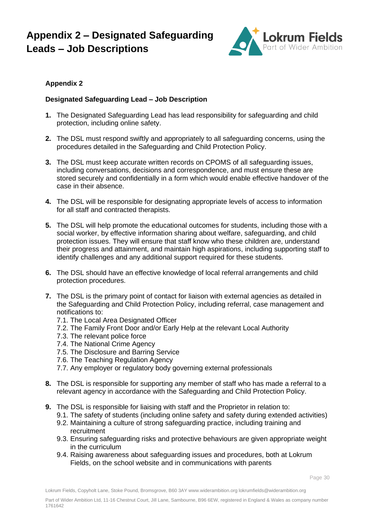## **Appendix 2 – Designated Safeguarding Leads – Job Descriptions**



## **Appendix 2**

### **Designated Safeguarding Lead – Job Description**

- **1.** The Designated Safeguarding Lead has lead responsibility for safeguarding and child protection, including online safety.
- **2.** The DSL must respond swiftly and appropriately to all safeguarding concerns, using the procedures detailed in the Safeguarding and Child Protection Policy.
- **3.** The DSL must keep accurate written records on CPOMS of all safeguarding issues, including conversations, decisions and correspondence, and must ensure these are stored securely and confidentially in a form which would enable effective handover of the case in their absence.
- **4.** The DSL will be responsible for designating appropriate levels of access to information for all staff and contracted therapists.
- **5.** The DSL will help promote the educational outcomes for students, including those with a social worker, by effective information sharing about welfare, safeguarding, and child protection issues. They will ensure that staff know who these children are, understand their progress and attainment, and maintain high aspirations, including supporting staff to identify challenges and any additional support required for these students.
- **6.** The DSL should have an effective knowledge of local referral arrangements and child protection procedures.
- **7.** The DSL is the primary point of contact for liaison with external agencies as detailed in the Safeguarding and Child Protection Policy, including referral, case management and notifications to:
	- 7.1. The Local Area Designated Officer
	- 7.2. The Family Front Door and/or Early Help at the relevant Local Authority
	- 7.3. The relevant police force
	- 7.4. The National Crime Agency
	- 7.5. The Disclosure and Barring Service
	- 7.6. The Teaching Regulation Agency
	- 7.7. Any employer or regulatory body governing external professionals
- **8.** The DSL is responsible for supporting any member of staff who has made a referral to a relevant agency in accordance with the Safeguarding and Child Protection Policy.
- **9.** The DSL is responsible for liaising with staff and the Proprietor in relation to:
	- 9.1. The safety of students (including online safety and safety during extended activities)
	- 9.2. Maintaining a culture of strong safeguarding practice, including training and recruitment
	- 9.3. Ensuring safeguarding risks and protective behaviours are given appropriate weight in the curriculum
	- 9.4. Raising awareness about safeguarding issues and procedures, both at Lokrum Fields, on the school website and in communications with parents

Page 30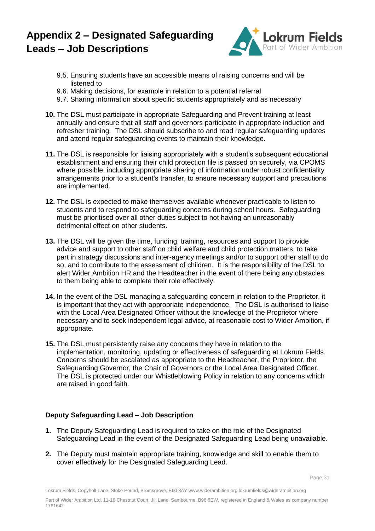## **Appendix 2 – Designated Safeguarding Leads – Job Descriptions**



- 9.5. Ensuring students have an accessible means of raising concerns and will be listened to
- 9.6. Making decisions, for example in relation to a potential referral
- 9.7. Sharing information about specific students appropriately and as necessary
- **10.** The DSL must participate in appropriate Safeguarding and Prevent training at least annually and ensure that all staff and governors participate in appropriate induction and refresher training. The DSL should subscribe to and read regular safeguarding updates and attend regular safeguarding events to maintain their knowledge.
- **11.** The DSL is responsible for liaising appropriately with a student's subsequent educational establishment and ensuring their child protection file is passed on securely, via CPOMS where possible, including appropriate sharing of information under robust confidentiality arrangements prior to a student's transfer, to ensure necessary support and precautions are implemented.
- **12.** The DSL is expected to make themselves available whenever practicable to listen to students and to respond to safeguarding concerns during school hours. Safeguarding must be prioritised over all other duties subject to not having an unreasonably detrimental effect on other students.
- **13.** The DSL will be given the time, funding, training, resources and support to provide advice and support to other staff on child welfare and child protection matters, to take part in strategy discussions and inter-agency meetings and/or to support other staff to do so, and to contribute to the assessment of children. It is the responsibility of the DSL to alert Wider Ambition HR and the Headteacher in the event of there being any obstacles to them being able to complete their role effectively.
- **14.** In the event of the DSL managing a safeguarding concern in relation to the Proprietor, it is important that they act with appropriate independence. The DSL is authorised to liaise with the Local Area Designated Officer without the knowledge of the Proprietor where necessary and to seek independent legal advice, at reasonable cost to Wider Ambition, if appropriate.
- **15.** The DSL must persistently raise any concerns they have in relation to the implementation, monitoring, updating or effectiveness of safeguarding at Lokrum Fields. Concerns should be escalated as appropriate to the Headteacher, the Proprietor, the Safeguarding Governor, the Chair of Governors or the Local Area Designated Officer. The DSL is protected under our Whistleblowing Policy in relation to any concerns which are raised in good faith.

### **Deputy Safeguarding Lead – Job Description**

- **1.** The Deputy Safeguarding Lead is required to take on the role of the Designated Safeguarding Lead in the event of the Designated Safeguarding Lead being unavailable.
- **2.** The Deputy must maintain appropriate training, knowledge and skill to enable them to cover effectively for the Designated Safeguarding Lead.